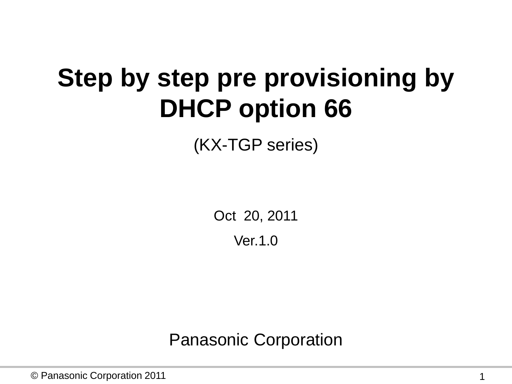# **Step by step pre provisioning by DHCP option 66**

(KX-TGP series)

Oct 20, 2011

Ver.1.0

Panasonic Corporation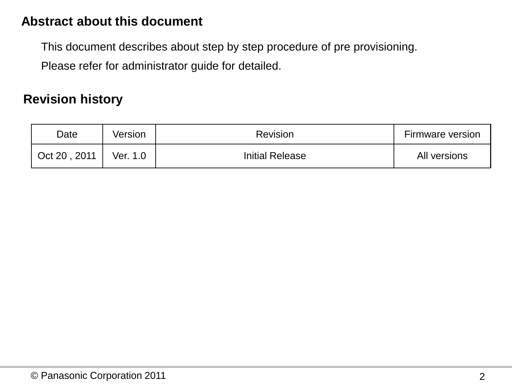#### **Abstract about this document**

This document describes about step by step procedure of pre provisioning.

Please refer for administrator guide for detailed.

#### **Revision history**

| Date         | Version  | Revision               | <b>Firmware version</b> |
|--------------|----------|------------------------|-------------------------|
| Oct 20, 2011 | Ver. 1.0 | <b>Initial Release</b> | All versions            |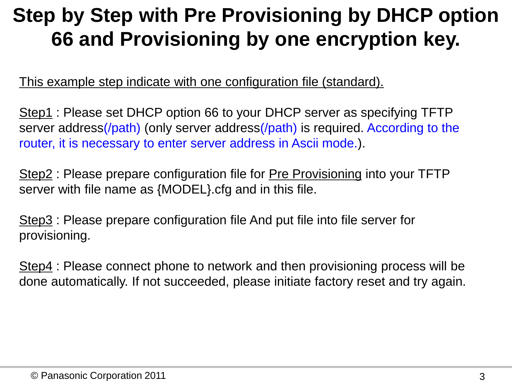# **Step by Step with Pre Provisioning by DHCP option 66 and Provisioning by one encryption key.**

This example step indicate with one configuration file (standard).

Step1 : Please set DHCP option 66 to your DHCP server as specifying TFTP server address(/path) (only server address(/path) is required. According to the router, it is necessary to enter server address in Ascii mode.).

Step2 : Please prepare configuration file for Pre Provisioning into your TFTP server with file name as {MODEL}.cfg and in this file.

Step3 : Please prepare configuration file And put file into file server for provisioning.

Step4 : Please connect phone to network and then provisioning process will be done automatically. If not succeeded, please initiate factory reset and try again.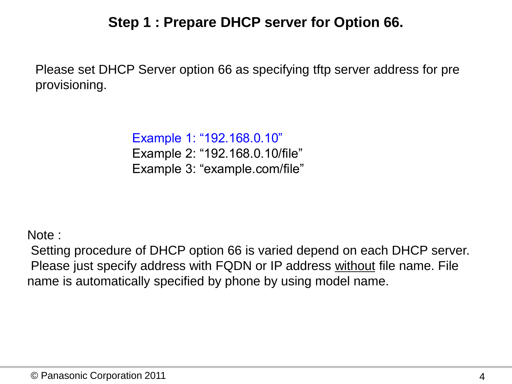# **Step 1 : Prepare DHCP server for Option 66.**

Please set DHCP Server option 66 as specifying tftp server address for pre provisioning.

> Example 1: "192.168.0.10" Example 2: "192.168.0.10/file" Example 3: "example.com/file"

Note :

Setting procedure of DHCP option 66 is varied depend on each DHCP server. Please just specify address with FQDN or IP address without file name. File name is automatically specified by phone by using model name.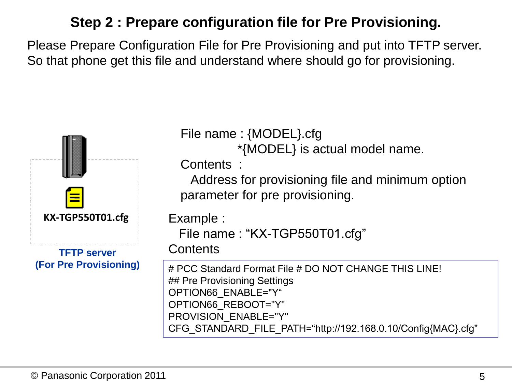# **Step 2 : Prepare configuration file for Pre Provisioning.**

Please Prepare Configuration File for Pre Provisioning and put into TFTP server. So that phone get this file and understand where should go for provisioning.

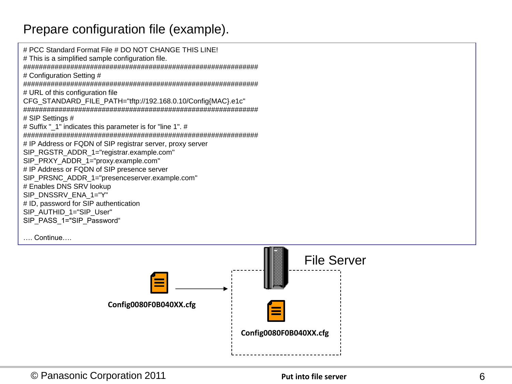#### Prepare configuration file (example).

# PCC Standard Format File # DO NOT CHANGE THIS LINE! # This is a simplified sample configuration file. ############################################################ # Configuration Setting # ############################################################ # URL of this configuration file CFG\_STANDARD\_FILE\_PATH="tftp://192.168.0.10/Config{MAC}.e1c" ############################################################ # SIP Settings # # Suffix " 1" indicates this parameter is for "line 1". # ############################################################ # IP Address or FQDN of SIP registrar server, proxy server SIP\_RGSTR\_ADDR\_1="registrar.example.com" SIP\_PRXY\_ADDR\_1="proxy.example.com" # IP Address or FQDN of SIP presence server SIP\_PRSNC\_ADDR\_1="presenceserver.example.com" # Enables DNS SRV lookup SIP\_DNSSRV\_ENA\_1="Y" # ID, password for SIP authentication SIP\_AUTHID\_1="SIP\_User" SIP\_PASS\_1="SIP\_Password"

…. Continue….